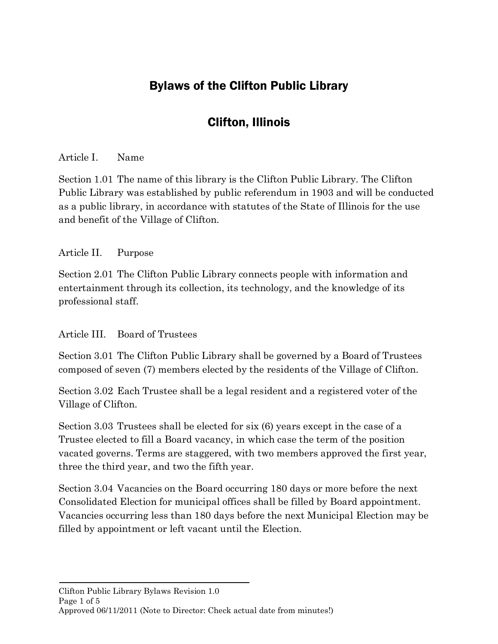# Bylaws of the Clifton Public Library

## Clifton, Illinois

Article I. Name

Section 1.01 The name of this library is the Clifton Public Library. The Clifton Public Library was established by public referendum in 1903 and will be conducted as a public library, in accordance with statutes of the State of Illinois for the use and benefit of the Village of Clifton.

Article II. Purpose

Section 2.01 The Clifton Public Library connects people with information and entertainment through its collection, its technology, and the knowledge of its professional staff.

Article III. Board of Trustees

Section 3.01 The Clifton Public Library shall be governed by a Board of Trustees composed of seven (7) members elected by the residents of the Village of Clifton.

Section 3.02 Each Trustee shall be a legal resident and a registered voter of the Village of Clifton.

Section 3.03 Trustees shall be elected for six (6) years except in the case of a Trustee elected to fill a Board vacancy, in which case the term of the position vacated governs. Terms are staggered, with two members approved the first year, three the third year, and two the fifth year.

Section 3.04 Vacancies on the Board occurring 180 days or more before the next Consolidated Election for municipal offices shall be filled by Board appointment. Vacancies occurring less than 180 days before the next Municipal Election may be filled by appointment or left vacant until the Election.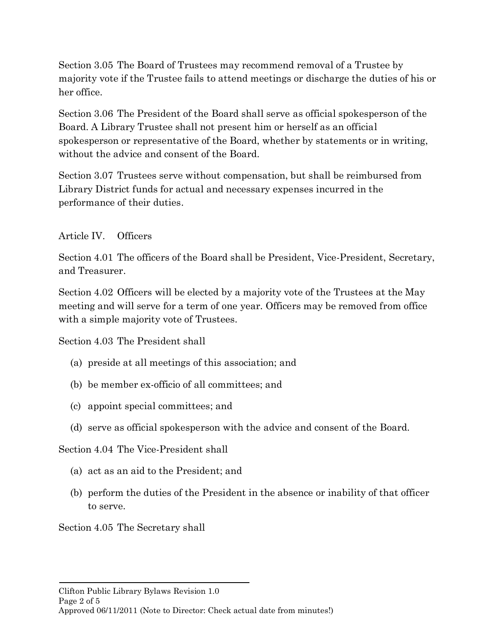Section 3.05 The Board of Trustees may recommend removal of a Trustee by majority vote if the Trustee fails to attend meetings or discharge the duties of his or her office.

Section 3.06 The President of the Board shall serve as official spokesperson of the Board. A Library Trustee shall not present him or herself as an official spokesperson or representative of the Board, whether by statements or in writing, without the advice and consent of the Board.

Section 3.07 Trustees serve without compensation, but shall be reimbursed from Library District funds for actual and necessary expenses incurred in the performance of their duties.

#### Article IV. Officers

Section 4.01 The officers of the Board shall be President, Vice-President, Secretary, and Treasurer.

Section 4.02 Officers will be elected by a majority vote of the Trustees at the May meeting and will serve for a term of one year. Officers may be removed from office with a simple majority vote of Trustees.

Section 4.03 The President shall

- (a) preside at all meetings of this association; and
- (b) be member ex-officio of all committees; and
- (c) appoint special committees; and
- (d) serve as official spokesperson with the advice and consent of the Board.

Section 4.04 The Vice-President shall

- (a) act as an aid to the President; and
- (b) perform the duties of the President in the absence or inability of that officer to serve.

Section 4.05 The Secretary shall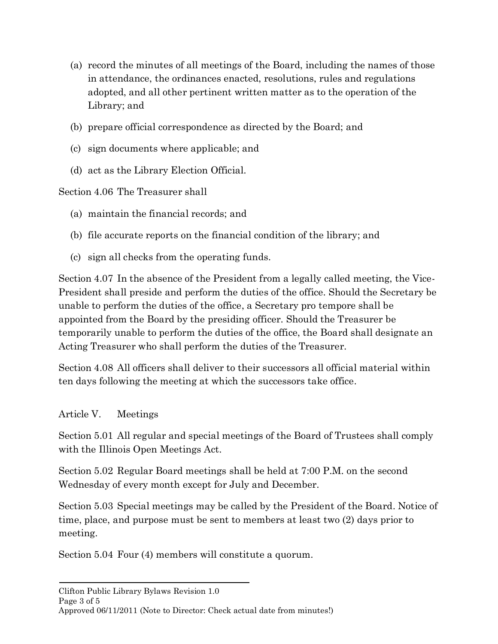- (a) record the minutes of all meetings of the Board, including the names of those in attendance, the ordinances enacted, resolutions, rules and regulations adopted, and all other pertinent written matter as to the operation of the Library; and
- (b) prepare official correspondence as directed by the Board; and
- (c) sign documents where applicable; and
- (d) act as the Library Election Official.

Section 4.06 The Treasurer shall

- (a) maintain the financial records; and
- (b) file accurate reports on the financial condition of the library; and
- (c) sign all checks from the operating funds.

Section 4.07 In the absence of the President from a legally called meeting, the Vice-President shall preside and perform the duties of the office. Should the Secretary be unable to perform the duties of the office, a Secretary pro tempore shall be appointed from the Board by the presiding officer. Should the Treasurer be temporarily unable to perform the duties of the office, the Board shall designate an Acting Treasurer who shall perform the duties of the Treasurer.

Section 4.08 All officers shall deliver to their successors all official material within ten days following the meeting at which the successors take office.

Article V. Meetings

Section 5.01 All regular and special meetings of the Board of Trustees shall comply with the Illinois Open Meetings Act.

Section 5.02 Regular Board meetings shall be held at 7:00 P.M. on the second Wednesday of every month except for July and December.

Section 5.03 Special meetings may be called by the President of the Board. Notice of time, place, and purpose must be sent to members at least two (2) days prior to meeting.

Section 5.04 Four (4) members will constitute a quorum.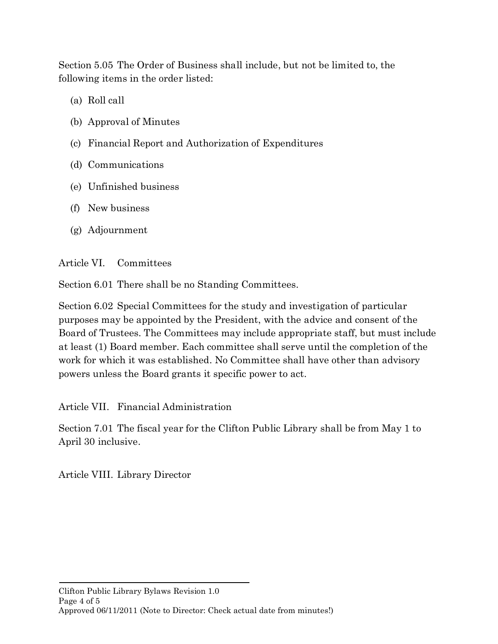Section 5.05 The Order of Business shall include, but not be limited to, the following items in the order listed:

- (a) Roll call
- (b) Approval of Minutes
- (c) Financial Report and Authorization of Expenditures
- (d) Communications
- (e) Unfinished business
- (f) New business
- (g) Adjournment

Article VI. Committees

Section 6.01 There shall be no Standing Committees.

Section 6.02 Special Committees for the study and investigation of particular purposes may be appointed by the President, with the advice and consent of the Board of Trustees. The Committees may include appropriate staff, but must include at least (1) Board member. Each committee shall serve until the completion of the work for which it was established. No Committee shall have other than advisory powers unless the Board grants it specific power to act.

Article VII. Financial Administration

Section 7.01 The fiscal year for the Clifton Public Library shall be from May 1 to April 30 inclusive.

Article VIII. Library Director